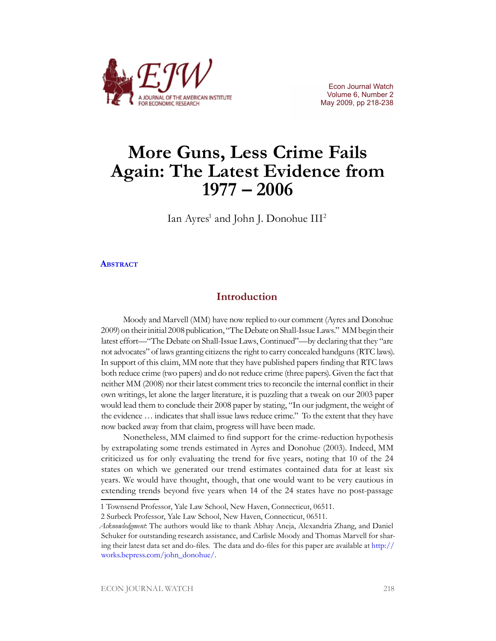

Econ Journal Watch Volume 6, Number 2 May 2009, pp 218-238

# **More Guns, Less Crime Fails Again: The Latest Evidence from 1977 – 2006**

Ian Ayres<sup>1</sup> and John J. Donohue III<sup>2</sup>

### **[Abstract](http://www.aier.org/aier/publications/ejw_ab_may09_ayresdonohue.pdf)**

### **Introduction**

Moody and Marvell (MM) have now replied to our comment (Ayres and Donohue 2009) on their initial 2008 publication, "The Debate on Shall-Issue Laws." MM begin their latest effort—"The Debate on Shall-Issue Laws, Continued"—by declaring that they "are not advocates" of laws granting citizens the right to carry concealed handguns (RTC laws). In support of this claim, MM note that they have published papers finding that RTC laws both reduce crime (two papers) and do not reduce crime (three papers). Given the fact that neither MM (2008) nor their latest comment tries to reconcile the internal conflict in their own writings, let alone the larger literature, it is puzzling that a tweak on our 2003 paper would lead them to conclude their 2008 paper by stating, "In our judgment, the weight of the evidence … indicates that shall issue laws reduce crime." To the extent that they have now backed away from that claim, progress will have been made.

Nonetheless, MM claimed to find support for the crime-reduction hypothesis by extrapolating some trends estimated in Ayres and Donohue (2003). Indeed, MM criticized us for only evaluating the trend for five years, noting that 10 of the 24 states on which we generated our trend estimates contained data for at least six years. We would have thought, though, that one would want to be very cautious in extending trends beyond five years when 14 of the 24 states have no post-passage

<sup>1</sup> Townsend Professor, Yale Law School, New Haven, Connecticut, 06511.

<sup>2</sup> Surbeck Professor, Yale Law School, New Haven, Connecticut, 06511.

*Acknowledgment*: The authors would like to thank Abhay Aneja, Alexandria Zhang, and Daniel Schuker for outstanding research assistance, and Carlisle Moody and Thomas Marvell for sharing their latest data set and do-files. The data and do-files for this paper are available at [http://](http://works.bepress.com/john_donohue/) [works.bepress.com/john\\_donohue/](http://works.bepress.com/john_donohue/).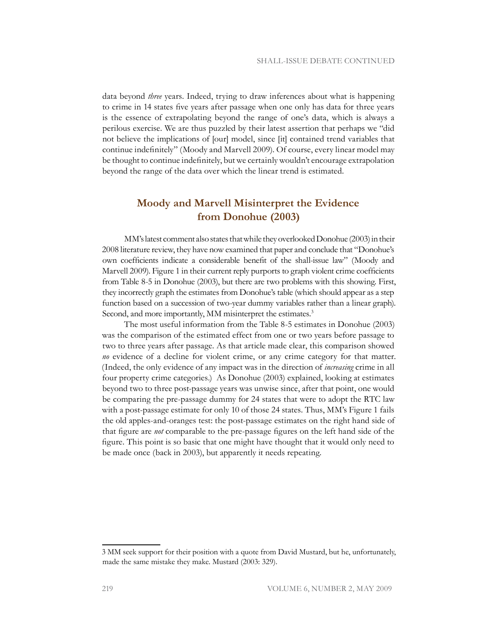data beyond *three* years. Indeed, trying to draw inferences about what is happening to crime in 14 states five years after passage when one only has data for three years is the essence of extrapolating beyond the range of one's data, which is always a perilous exercise. We are thus puzzled by their latest assertion that perhaps we "did not believe the implications of [our] model, since [it] contained trend variables that continue indefinitely" (Moody and Marvell 2009). Of course, every linear model may be thought to continue indefinitely, but we certainly wouldn't encourage extrapolation beyond the range of the data over which the linear trend is estimated.

# **Moody and Marvell Misinterpret the Evidence from Donohue (2003)**

MM's latest comment also states that while they overlooked Donohue (2003) in their 2008 literature review, they have now examined that paper and conclude that "Donohue's own coefficients indicate a considerable benefit of the shall-issue law" (Moody and Marvell 2009). Figure 1 in their current reply purports to graph violent crime coefficients from Table 8-5 in Donohue (2003), but there are two problems with this showing. First, they incorrectly graph the estimates from Donohue's table (which should appear as a step function based on a succession of two-year dummy variables rather than a linear graph). Second, and more importantly, MM misinterpret the estimates.<sup>3</sup>

The most useful information from the Table 8-5 estimates in Donohue (2003) was the comparison of the estimated effect from one or two years before passage to two to three years after passage. As that article made clear, this comparison showed *no* evidence of a decline for violent crime, or any crime category for that matter. (Indeed, the only evidence of any impact was in the direction of *increasing* crime in all four property crime categories.) As Donohue (2003) explained, looking at estimates beyond two to three post-passage years was unwise since, after that point, one would be comparing the pre-passage dummy for 24 states that were to adopt the RTC law with a post-passage estimate for only 10 of those 24 states. Thus, MM's Figure 1 fails the old apples-and-oranges test: the post-passage estimates on the right hand side of that figure are *not* comparable to the pre-passage figures on the left hand side of the figure. This point is so basic that one might have thought that it would only need to be made once (back in 2003), but apparently it needs repeating.

<sup>3</sup> MM seek support for their position with a quote from David Mustard, but he, unfortunately, made the same mistake they make. Mustard (2003: 329).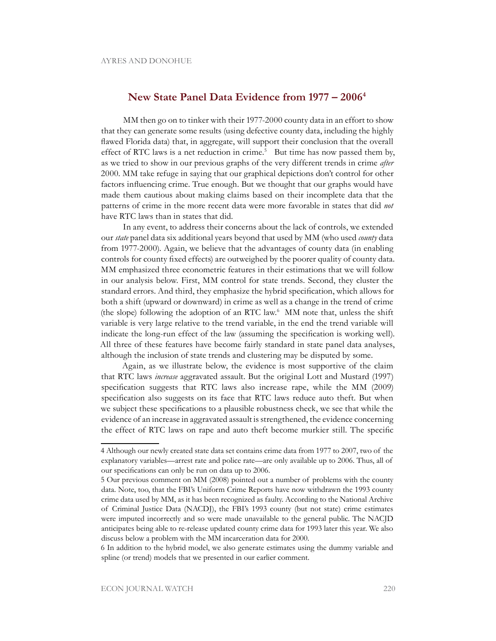## **New State Panel Data Evidence from 1977 – 20064**

MM then go on to tinker with their 1977-2000 county data in an effort to show that they can generate some results (using defective county data, including the highly flawed Florida data) that, in aggregate, will support their conclusion that the overall effect of RTC laws is a net reduction in crime.<sup>5</sup> But time has now passed them by, as we tried to show in our previous graphs of the very different trends in crime *after* 2000. MM take refuge in saying that our graphical depictions don't control for other factors influencing crime. True enough. But we thought that our graphs would have made them cautious about making claims based on their incomplete data that the patterns of crime in the more recent data were more favorable in states that did *not* have RTC laws than in states that did.

In any event, to address their concerns about the lack of controls, we extended our *state* panel data six additional years beyond that used by MM (who used *county* data from 1977-2000). Again, we believe that the advantages of county data (in enabling controls for county fixed effects) are outweighed by the poorer quality of county data. MM emphasized three econometric features in their estimations that we will follow in our analysis below. First, MM control for state trends. Second, they cluster the standard errors. And third, they emphasize the hybrid specification, which allows for both a shift (upward or downward) in crime as well as a change in the trend of crime (the slope) following the adoption of an RTC law.6 MM note that, unless the shift variable is very large relative to the trend variable, in the end the trend variable will indicate the long-run effect of the law (assuming the specification is working well). All three of these features have become fairly standard in state panel data analyses, although the inclusion of state trends and clustering may be disputed by some.

Again, as we illustrate below, the evidence is most supportive of the claim that RTC laws *increase* aggravated assault. But the original Lott and Mustard (1997) specification suggests that RTC laws also increase rape, while the MM (2009) specification also suggests on its face that RTC laws reduce auto theft. But when we subject these specifications to a plausible robustness check, we see that while the evidence of an increase in aggravated assault is strengthened, the evidence concerning the effect of RTC laws on rape and auto theft become murkier still. The specific

<sup>4</sup> Although our newly created state data set contains crime data from 1977 to 2007, two of the explanatory variables—arrest rate and police rate—are only available up to 2006. Thus, all of our specifications can only be run on data up to 2006.

<sup>5</sup> Our previous comment on MM (2008) pointed out a number of problems with the county data. Note, too, that the FBI's Uniform Crime Reports have now withdrawn the 1993 county crime data used by MM, as it has been recognized as faulty. According to the National Archive of Criminal Justice Data (NACDJ), the FBI's 1993 county (but not state) crime estimates were imputed incorrectly and so were made unavailable to the general public. The NACJD anticipates being able to re-release updated county crime data for 1993 later this year. We also discuss below a problem with the MM incarceration data for 2000.

<sup>6</sup> In addition to the hybrid model, we also generate estimates using the dummy variable and spline (or trend) models that we presented in our earlier comment.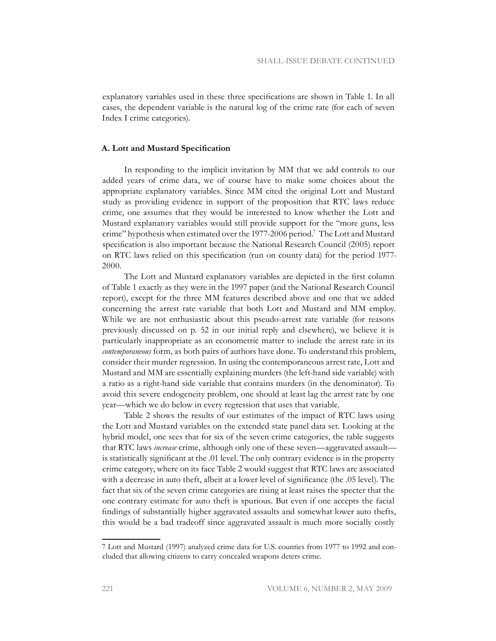explanatory variables used in these three specifications are shown in Table 1. In all cases, the dependent variable is the natural log of the crime rate (for each of seven Index I crime categories).

### **A. Lott and Mustard Specification**

In responding to the implicit invitation by MM that we add controls to our added years of crime data, we of course have to make some choices about the appropriate explanatory variables. Since MM cited the original Lott and Mustard study as providing evidence in support of the proposition that RTC laws reduce crime, one assumes that they would be interested to know whether the Lott and Mustard explanatory variables would still provide support for the "more guns, less crime" hypothesis when estimated over the 1977-2006 period.7 The Lott and Mustard specification is also important because the National Research Council (2005) report on RTC laws relied on this specification (run on county data) for the period 1977- 2000.

The Lott and Mustard explanatory variables are depicted in the first column of Table 1 exactly as they were in the 1997 paper (and the National Research Council report), except for the three MM features described above and one that we added concerning the arrest rate variable that both Lott and Mustard and MM employ. While we are not enthusiastic about this pseudo-arrest rate variable (for reasons previously discussed on p. 52 in our initial reply and elsewhere), we believe it is particularly inappropriate as an econometric matter to include the arrest rate in its *contemporaneous* form, as both pairs of authors have done. To understand this problem, consider their murder regression. In using the contemporaneous arrest rate, Lott and Mustard and MM are essentially explaining murders (the left-hand side variable) with a ratio as a right-hand side variable that contains murders (in the denominator). To avoid this severe endogeneity problem, one should at least lag the arrest rate by one year—which we do below in every regression that uses that variable.

Table 2 shows the results of our estimates of the impact of RTC laws using the Lott and Mustard variables on the extended state panel data set. Looking at the hybrid model, one sees that for six of the seven crime categories, the table suggests that RTC laws *increase* crime, although only one of these seven—aggravated assault is statistically significant at the .01 level. The only contrary evidence is in the property crime category, where on its face Table 2 would suggest that RTC laws are associated with a decrease in auto theft, albeit at a lower level of significance (the .05 level). The fact that six of the seven crime categories are rising at least raises the specter that the one contrary estimate for auto theft is spurious. But even if one accepts the facial findings of substantially higher aggravated assaults and somewhat lower auto thefts, this would be a bad tradeoff since aggravated assault is much more socially costly

<sup>7</sup> Lott and Mustard (1997) analyzed crime data for U.S. counties from 1977 to 1992 and concluded that allowing citizens to carry concealed weapons deters crime.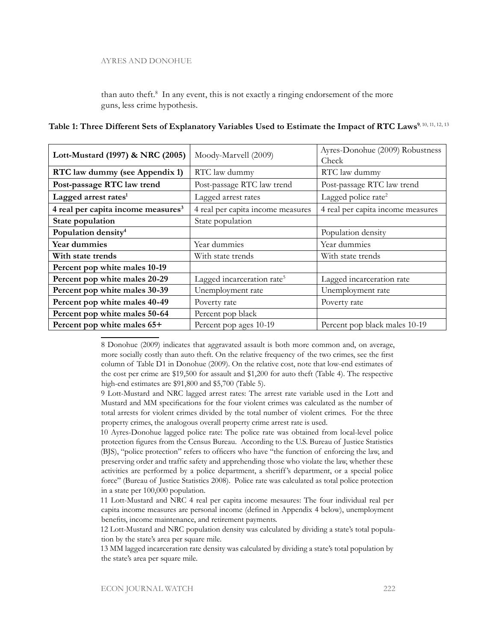than auto theft.<sup>8</sup> In any event, this is not exactly a ringing endorsement of the more guns, less crime hypothesis.

| Lott-Mustard (1997) & NRC (2005)               | Moody-Marvell (2009)                   | Ayres-Donohue (2009) Robustness<br>Check |  |
|------------------------------------------------|----------------------------------------|------------------------------------------|--|
| RTC law dummy (see Appendix 1)                 | RTC law dummy                          | RTC law dummy                            |  |
| Post-passage RTC law trend                     | Post-passage RTC law trend             | Post-passage RTC law trend               |  |
| Lagged arrest rates <sup>1</sup>               | Lagged arrest rates                    | Lagged police rate <sup>2</sup>          |  |
| 4 real per capita income measures <sup>3</sup> | 4 real per capita income measures      | 4 real per capita income measures        |  |
| State population                               | State population                       |                                          |  |
| Population density <sup>4</sup>                |                                        | Population density                       |  |
| Year dummies                                   | Year dummies                           | Year dummies                             |  |
| With state trends                              | With state trends                      | With state trends                        |  |
| Percent pop white males 10-19                  |                                        |                                          |  |
| Percent pop white males 20-29                  | Lagged incarceration rate <sup>5</sup> | Lagged incarceration rate                |  |
| Percent pop white males 30-39                  | Unemployment rate                      | Unemployment rate                        |  |
| Percent pop white males 40-49                  | Poverty rate                           | Poverty rate                             |  |
| Percent pop white males 50-64                  | Percent pop black                      |                                          |  |
| Percent pop white males 65+                    | Percent pop ages 10-19                 | Percent pop black males 10-19            |  |

**Table 1: Three Different Sets of Explanatory Variables Used to Estimate the Impact of RTC Laws9**, 10, 11, 12, 13

8 Donohue (2009) indicates that aggravated assault is both more common and, on average, more socially costly than auto theft. On the relative frequency of the two crimes, see the first column of Table D1 in Donohue (2009). On the relative cost, note that low-end estimates of the cost per crime are \$19,500 for assault and \$1,200 for auto theft (Table 4). The respective high-end estimates are \$91,800 and \$5,700 (Table 5).

9 Lott-Mustard and NRC lagged arrest rates: The arrest rate variable used in the Lott and Mustard and MM specifications for the four violent crimes was calculated as the number of total arrests for violent crimes divided by the total number of violent crimes. For the three property crimes, the analogous overall property crime arrest rate is used.

10 Ayres-Donohue lagged police rate: The police rate was obtained from local-level police protection figures from the Census Bureau. According to the U.S. Bureau of Justice Statistics (BJS), "police protection" refers to officers who have "the function of enforcing the law, and preserving order and traffic safety and apprehending those who violate the law, whether these activities are performed by a police department, a sheriff 's department, or a special police force" (Bureau of Justice Statistics 2008). Police rate was calculated as total police protection in a state per 100,000 population.

11 Lott-Mustard and NRC 4 real per capita income mesaures: The four individual real per capita income measures are personal income (defined in Appendix 4 below), unemployment benefits, income maintenance, and retirement payments.

12 Lott-Mustard and NRC population density was calculated by dividing a state's total population by the state's area per square mile.

13 MM lagged incarceration rate density was calculated by dividing a state's total population by the state's area per square mile.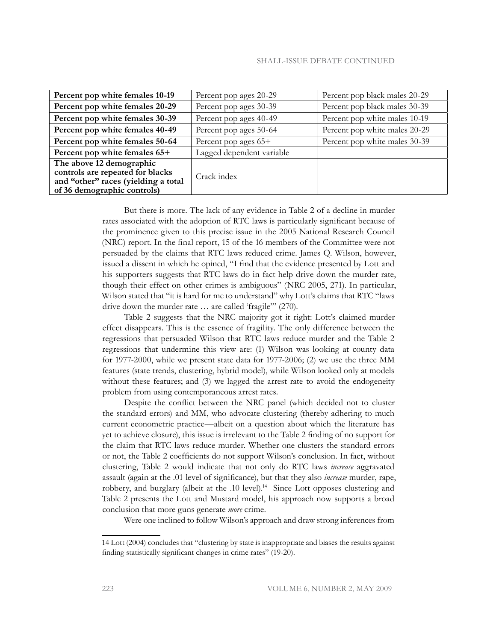| Percent pop white females 10-19                                                                                                    | Percent pop ages 20-29    | Percent pop black males 20-29 |
|------------------------------------------------------------------------------------------------------------------------------------|---------------------------|-------------------------------|
| Percent pop white females 20-29                                                                                                    | Percent pop ages 30-39    | Percent pop black males 30-39 |
| Percent pop white females 30-39                                                                                                    | Percent pop ages 40-49    | Percent pop white males 10-19 |
| Percent pop white females 40-49                                                                                                    | Percent pop ages 50-64    | Percent pop white males 20-29 |
| Percent pop white females 50-64                                                                                                    | Percent pop ages 65+      | Percent pop white males 30-39 |
| Percent pop white females 65+                                                                                                      | Lagged dependent variable |                               |
| The above 12 demographic<br>controls are repeated for blacks<br>and "other" races (yielding a total<br>of 36 demographic controls) | Crack index               |                               |

But there is more. The lack of any evidence in Table 2 of a decline in murder rates associated with the adoption of RTC laws is particularly significant because of the prominence given to this precise issue in the 2005 National Research Council (NRC) report. In the final report, 15 of the 16 members of the Committee were not persuaded by the claims that RTC laws reduced crime. James Q. Wilson, however, issued a dissent in which he opined, "I find that the evidence presented by Lott and his supporters suggests that RTC laws do in fact help drive down the murder rate, though their effect on other crimes is ambiguous" (NRC 2005, 271). In particular, Wilson stated that "it is hard for me to understand" why Lott's claims that RTC "laws drive down the murder rate … are called 'fragile'" (270).

Table 2 suggests that the NRC majority got it right: Lott's claimed murder effect disappears. This is the essence of fragility. The only difference between the regressions that persuaded Wilson that RTC laws reduce murder and the Table 2 regressions that undermine this view are: (1) Wilson was looking at county data for 1977-2000, while we present state data for 1977-2006; (2) we use the three MM features (state trends, clustering, hybrid model), while Wilson looked only at models without these features; and (3) we lagged the arrest rate to avoid the endogeneity problem from using contemporaneous arrest rates.

Despite the conflict between the NRC panel (which decided not to cluster the standard errors) and MM, who advocate clustering (thereby adhering to much current econometric practice—albeit on a question about which the literature has yet to achieve closure), this issue is irrelevant to the Table 2 finding of no support for the claim that RTC laws reduce murder. Whether one clusters the standard errors or not, the Table 2 coefficients do not support Wilson's conclusion. In fact, without clustering, Table 2 would indicate that not only do RTC laws *increase* aggravated assault (again at the .01 level of significance), but that they also *increase* murder, rape, robbery, and burglary (albeit at the .10 level).<sup>14</sup> Since Lott opposes clustering and Table 2 presents the Lott and Mustard model, his approach now supports a broad conclusion that more guns generate *more* crime.

Were one inclined to follow Wilson's approach and draw strong inferences from

<sup>14</sup> Lott (2004) concludes that "clustering by state is inappropriate and biases the results against finding statistically significant changes in crime rates" (19-20).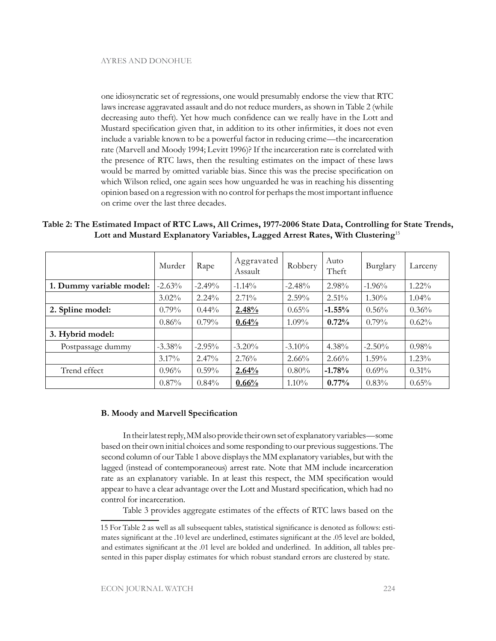one idiosyncratic set of regressions, one would presumably endorse the view that RTC laws increase aggravated assault and do not reduce murders, as shown in Table 2 (while decreasing auto theft). Yet how much confidence can we really have in the Lott and Mustard specification given that, in addition to its other infirmities, it does not even include a variable known to be a powerful factor in reducing crime—the incarceration rate (Marvell and Moody 1994; Levitt 1996)? If the incarceration rate is correlated with the presence of RTC laws, then the resulting estimates on the impact of these laws would be marred by omitted variable bias. Since this was the precise specification on which Wilson relied, one again sees how unguarded he was in reaching his dissenting opinion based on a regression with no control for perhaps the most important influence on crime over the last three decades.

**Table 2: The Estimated Impact of RTC Laws, All Crimes, 1977-2006 State Data, Controlling for State Trends, Lott and Mustard Explanatory Variables, Lagged Arrest Rates, With Clustering**<sup>15</sup>

|                          | Murder    | Rape     | Aggravated<br>Assault | Robbery   | Auto<br>Theft | Burglary | Larceny  |
|--------------------------|-----------|----------|-----------------------|-----------|---------------|----------|----------|
| 1. Dummy variable model: | $-2.63%$  | $-2.49%$ | $-1.14\%$             | $-2.48%$  | $2.98\%$      | $-1.96%$ | $1.22\%$ |
|                          | $3.02\%$  | $2.24\%$ | $2.71\%$              | $2.59\%$  | $2.51\%$      | $1.30\%$ | $1.04\%$ |
| 2. Spline model:         | $0.79\%$  | $0.44\%$ | 2.48%                 | $0.65\%$  | $-1.55%$      | 0.56%    | 0.36%    |
|                          | 0.86%     | $0.79\%$ | 0.64%                 | $1.09\%$  | 0.72%         | $0.79\%$ | 0.62%    |
| 3. Hybrid model:         |           |          |                       |           |               |          |          |
| Postpassage dummy        | $-3.38\%$ | $-2.95%$ | $-3.20%$              | $-3.10\%$ | $4.38\%$      | $-2.50%$ | $0.98\%$ |
|                          | $3.17\%$  | $2.47\%$ | 2.76%                 | 2.66%     | 2.66%         | $1.59\%$ | $1.23\%$ |
| Trend effect             | 0.96%     | $0.59\%$ | 2.64%                 | $0.80\%$  | $-1.78%$      | $0.69\%$ | 0.31%    |
|                          | $0.87\%$  | 0.84%    | 0.66%                 | $1.10\%$  | $0.77\%$      | 0.83%    | 0.65%    |

### **B. Moody and Marvell Specification**

In their latest reply, MM also provide their own set of explanatory variables—some based on their own initial choices and some responding to our previous suggestions. The second column of our Table 1 above displays the MM explanatory variables, but with the lagged (instead of contemporaneous) arrest rate. Note that MM include incarceration rate as an explanatory variable. In at least this respect, the MM specification would appear to have a clear advantage over the Lott and Mustard specification, which had no control for incarceration.

Table 3 provides aggregate estimates of the effects of RTC laws based on the

<sup>15</sup> For Table 2 as well as all subsequent tables, statistical significance is denoted as follows: estimates significant at the .10 level are underlined, estimates significant at the .05 level are bolded, and estimates significant at the .01 level are bolded and underlined. In addition, all tables presented in this paper display estimates for which robust standard errors are clustered by state.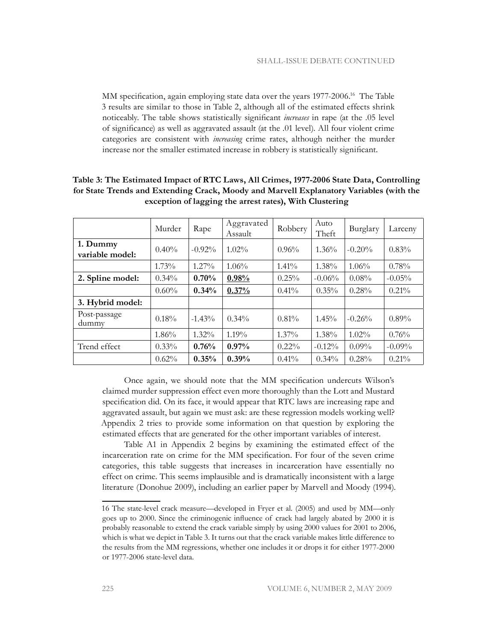MM specification, again employing state data over the years 1977-2006.16 The Table 3 results are similar to those in Table 2, although all of the estimated effects shrink noticeably. The table shows statistically significant *increases* in rape (at the .05 level of significance) as well as aggravated assault (at the .01 level). All four violent crime categories are consistent with *increasing* crime rates, although neither the murder increase nor the smaller estimated increase in robbery is statistically significant.

|                             | Murder   | Rape      | Aggravated<br>Assault | Robbery  | Auto<br>Theft | Burglary | Larceny   |
|-----------------------------|----------|-----------|-----------------------|----------|---------------|----------|-----------|
| 1. Dummy<br>variable model: | 0.40%    | $-0.92\%$ | $1.02\%$              | 0.96%    | $1.36\%$      | $-0.20%$ | 0.83%     |
|                             | $1.73\%$ | $1.27\%$  | 1.06%                 | $1.41\%$ | 1.38%         | 1.06%    | 0.78%     |
| 2. Spline model:            | $0.34\%$ | 0.70%     | 0.98%                 | 0.25%    | $-0.06%$      | 0.08%    | $-0.05%$  |
|                             | 0.60%    | 0.34%     | 0.37%                 | 0.41%    | 0.35%         | 0.28%    | $0.21\%$  |
| 3. Hybrid model:            |          |           |                       |          |               |          |           |
| Post-passage<br>dummy       | 0.18%    | $-1.43%$  | $0.34\%$              | 0.81%    | $1.45\%$      | $-0.26%$ | $0.89\%$  |
|                             | 1.86%    | $1.32\%$  | $1.19\%$              | $1.37\%$ | 1.38%         | $1.02\%$ | 0.76%     |
| Trend effect                | 0.33%    | 0.76%     | 0.97%                 | $0.22\%$ | $-0.12%$      | $0.09\%$ | $-0.09\%$ |
|                             | 0.62%    | 0.35%     | 0.39%                 | $0.41\%$ | $0.34\%$      | 0.28%    | 0.21%     |

### **Table 3: The Estimated Impact of RTC Laws, All Crimes, 1977-2006 State Data, Controlling for State Trends and Extending Crack, Moody and Marvell Explanatory Variables (with the exception of lagging the arrest rates), With Clustering**

Once again, we should note that the MM specification undercuts Wilson's claimed murder suppression effect even more thoroughly than the Lott and Mustard specification did. On its face, it would appear that RTC laws are increasing rape and aggravated assault, but again we must ask: are these regression models working well? Appendix 2 tries to provide some information on that question by exploring the estimated effects that are generated for the other important variables of interest.

Table A1 in Appendix 2 begins by examining the estimated effect of the incarceration rate on crime for the MM specification. For four of the seven crime categories, this table suggests that increases in incarceration have essentially no effect on crime. This seems implausible and is dramatically inconsistent with a large literature (Donohue 2009), including an earlier paper by Marvell and Moody (1994).

<sup>16</sup> The state-level crack measure—developed in Fryer et al. (2005) and used by MM—only goes up to 2000. Since the criminogenic influence of crack had largely abated by 2000 it is probably reasonable to extend the crack variable simply by using 2000 values for 2001 to 2006, which is what we depict in Table 3. It turns out that the crack variable makes little difference to the results from the MM regressions, whether one includes it or drops it for either 1977-2000 or 1977-2006 state-level data.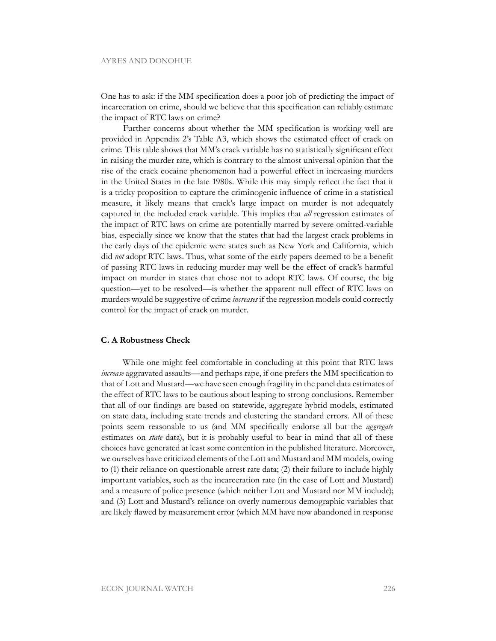One has to ask: if the MM specification does a poor job of predicting the impact of incarceration on crime, should we believe that this specification can reliably estimate the impact of RTC laws on crime?

Further concerns about whether the MM specification is working well are provided in Appendix 2's Table A3, which shows the estimated effect of crack on crime. This table shows that MM's crack variable has no statistically significant effect in raising the murder rate, which is contrary to the almost universal opinion that the rise of the crack cocaine phenomenon had a powerful effect in increasing murders in the United States in the late 1980s. While this may simply reflect the fact that it is a tricky proposition to capture the criminogenic influence of crime in a statistical measure, it likely means that crack's large impact on murder is not adequately captured in the included crack variable. This implies that *all* regression estimates of the impact of RTC laws on crime are potentially marred by severe omitted-variable bias, especially since we know that the states that had the largest crack problems in the early days of the epidemic were states such as New York and California, which did *not* adopt RTC laws. Thus, what some of the early papers deemed to be a benefit of passing RTC laws in reducing murder may well be the effect of crack's harmful impact on murder in states that chose not to adopt RTC laws. Of course, the big question—yet to be resolved—is whether the apparent null effect of RTC laws on murders would be suggestive of crime *increases* if the regression models could correctly control for the impact of crack on murder.

#### **C. A Robustness Check**

While one might feel comfortable in concluding at this point that RTC laws *increase* aggravated assaults—and perhaps rape, if one prefers the MM specification to that of Lott and Mustard—we have seen enough fragility in the panel data estimates of the effect of RTC laws to be cautious about leaping to strong conclusions. Remember that all of our findings are based on statewide, aggregate hybrid models, estimated on state data, including state trends and clustering the standard errors. All of these points seem reasonable to us (and MM specifically endorse all but the *aggregate* estimates on *state* data), but it is probably useful to bear in mind that all of these choices have generated at least some contention in the published literature. Moreover, we ourselves have criticized elements of the Lott and Mustard and MM models, owing to (1) their reliance on questionable arrest rate data; (2) their failure to include highly important variables, such as the incarceration rate (in the case of Lott and Mustard) and a measure of police presence (which neither Lott and Mustard nor MM include); and (3) Lott and Mustard's reliance on overly numerous demographic variables that are likely flawed by measurement error (which MM have now abandoned in response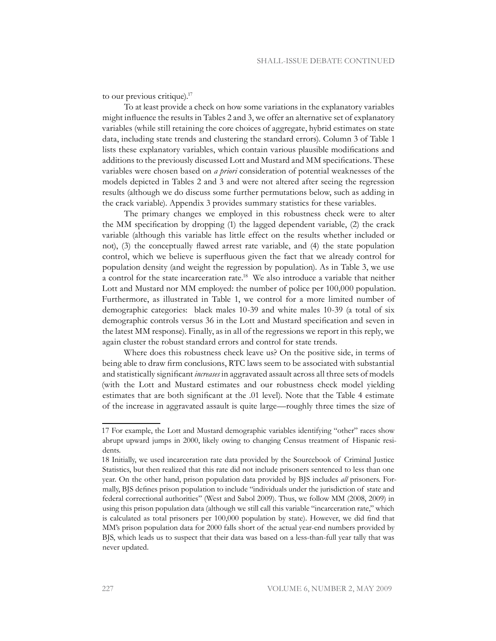to our previous critique).17

To at least provide a check on how some variations in the explanatory variables might influence the results in Tables 2 and 3, we offer an alternative set of explanatory variables (while still retaining the core choices of aggregate, hybrid estimates on state data, including state trends and clustering the standard errors). Column 3 of Table 1 lists these explanatory variables, which contain various plausible modifications and additions to the previously discussed Lott and Mustard and MM specifications. These variables were chosen based on *a priori* consideration of potential weaknesses of the models depicted in Tables 2 and 3 and were not altered after seeing the regression results (although we do discuss some further permutations below, such as adding in the crack variable). Appendix 3 provides summary statistics for these variables.

The primary changes we employed in this robustness check were to alter the MM specification by dropping (1) the lagged dependent variable, (2) the crack variable (although this variable has little effect on the results whether included or not), (3) the conceptually flawed arrest rate variable, and (4) the state population control, which we believe is superfluous given the fact that we already control for population density (and weight the regression by population). As in Table 3, we use a control for the state incarceration rate.18 We also introduce a variable that neither Lott and Mustard nor MM employed: the number of police per 100,000 population. Furthermore, as illustrated in Table 1, we control for a more limited number of demographic categories: black males 10-39 and white males 10-39 (a total of six demographic controls versus 36 in the Lott and Mustard specification and seven in the latest MM response). Finally, as in all of the regressions we report in this reply, we again cluster the robust standard errors and control for state trends.

Where does this robustness check leave us? On the positive side, in terms of being able to draw firm conclusions, RTC laws seem to be associated with substantial and statistically significant *increases* in aggravated assault across all three sets of models (with the Lott and Mustard estimates and our robustness check model yielding estimates that are both significant at the .01 level). Note that the Table 4 estimate of the increase in aggravated assault is quite large—roughly three times the size of

<sup>17</sup> For example, the Lott and Mustard demographic variables identifying "other" races show abrupt upward jumps in 2000, likely owing to changing Census treatment of Hispanic residents.

<sup>18</sup> Initially, we used incarceration rate data provided by the Sourcebook of Criminal Justice Statistics, but then realized that this rate did not include prisoners sentenced to less than one year. On the other hand, prison population data provided by BJS includes *all* prisoners. Formally, BJS defines prison population to include "individuals under the jurisdiction of state and federal correctional authorities" (West and Sabol 2009). Thus, we follow MM (2008, 2009) in using this prison population data (although we still call this variable "incarceration rate," which is calculated as total prisoners per 100,000 population by state). However, we did find that MM's prison population data for 2000 falls short of the actual year-end numbers provided by BJS, which leads us to suspect that their data was based on a less-than-full year tally that was never updated.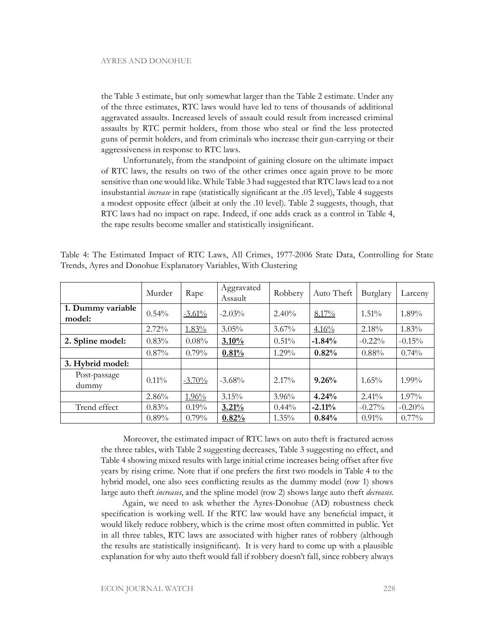the Table 3 estimate, but only somewhat larger than the Table 2 estimate. Under any of the three estimates, RTC laws would have led to tens of thousands of additional aggravated assaults. Increased levels of assault could result from increased criminal assaults by RTC permit holders, from those who steal or find the less protected guns of permit holders, and from criminals who increase their gun-carrying or their aggressiveness in response to RTC laws.

Unfortunately, from the standpoint of gaining closure on the ultimate impact of RTC laws, the results on two of the other crimes once again prove to be more sensitive than one would like. While Table 3 had suggested that RTC laws lead to a not insubstantial *increase* in rape (statistically significant at the .05 level), Table 4 suggests a modest opposite effect (albeit at only the .10 level). Table 2 suggests, though, that RTC laws had no impact on rape. Indeed, if one adds crack as a control in Table 4, the rape results become smaller and statistically insignificant.

|                             | Murder   | Rape      | Aggravated<br>Assault | Robbery  | Auto Theft | Burglary  | Larceny  |
|-----------------------------|----------|-----------|-----------------------|----------|------------|-----------|----------|
| 1. Dummy variable<br>model: | 0.54%    | $-3.61\%$ | $-2.03%$              | 2.40%    | 8.17%      | $1.51\%$  | 1.89%    |
|                             | 2.72%    | $1.83\%$  | 3.05%                 | $3.67\%$ | 4.16%      | 2.18%     | $1.83\%$ |
| 2. Spline model:            | 0.83%    | $0.08\%$  | $3.10\%$              | 0.51%    | $-1.84%$   | $-0.22%$  | $-0.15%$ |
|                             | $0.87\%$ | $0.79\%$  | 0.81%                 | $1.29\%$ | 0.82%      | 0.88%     | $0.74\%$ |
| 3. Hybrid model:            |          |           |                       |          |            |           |          |
| Post-passage<br>dummy       | $0.11\%$ | $-3.70%$  | $-3.68\%$             | $2.17\%$ | 9.26%      | $1.65\%$  | $1.99\%$ |
|                             | 2.86%    | $1.96\%$  | 3.15%                 | $3.96\%$ | 4.24%      | 2.41%     | $1.97\%$ |
| Trend effect                | 0.83%    | $0.19\%$  | 3.21%                 | $0.44\%$ | $-2.11%$   | $-0.27\%$ | $-0.20%$ |
|                             | $0.89\%$ | $0.79\%$  | 0.82%                 | $1.35\%$ | 0.84%      | 0.91%     | $0.77\%$ |

Table 4: The Estimated Impact of RTC Laws, All Crimes, 1977-2006 State Data, Controlling for State Trends, Ayres and Donohue Explanatory Variables, With Clustering

Moreover, the estimated impact of RTC laws on auto theft is fractured across the three tables, with Table 2 suggesting decreases, Table 3 suggesting no effect, and Table 4 showing mixed results with large initial crime increases being offset after five years by rising crime. Note that if one prefers the first two models in Table 4 to the hybrid model, one also sees conflicting results as the dummy model (row 1) shows large auto theft *increases*, and the spline model (row 2) shows large auto theft *decreases*.

Again, we need to ask whether the Ayres-Donohue (AD) robustness check specification is working well. If the RTC law would have any beneficial impact, it would likely reduce robbery, which is the crime most often committed in public. Yet in all three tables, RTC laws are associated with higher rates of robbery (although the results are statistically insignificant). It is very hard to come up with a plausible explanation for why auto theft would fall if robbery doesn't fall, since robbery always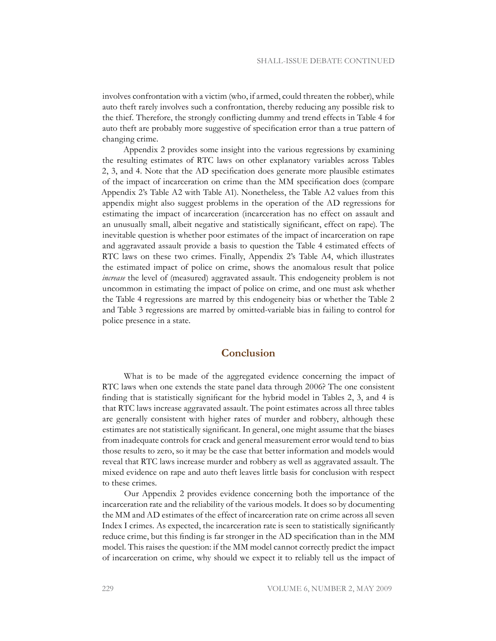involves confrontation with a victim (who, if armed, could threaten the robber), while auto theft rarely involves such a confrontation, thereby reducing any possible risk to the thief. Therefore, the strongly conflicting dummy and trend effects in Table 4 for auto theft are probably more suggestive of specification error than a true pattern of changing crime.

Appendix 2 provides some insight into the various regressions by examining the resulting estimates of RTC laws on other explanatory variables across Tables 2, 3, and 4. Note that the AD specification does generate more plausible estimates of the impact of incarceration on crime than the MM specification does (compare Appendix 2's Table A2 with Table A1). Nonetheless, the Table A2 values from this appendix might also suggest problems in the operation of the AD regressions for estimating the impact of incarceration (incarceration has no effect on assault and an unusually small, albeit negative and statistically significant, effect on rape). The inevitable question is whether poor estimates of the impact of incarceration on rape and aggravated assault provide a basis to question the Table 4 estimated effects of RTC laws on these two crimes. Finally, Appendix 2's Table A4, which illustrates the estimated impact of police on crime, shows the anomalous result that police *increase* the level of (measured) aggravated assault. This endogeneity problem is not uncommon in estimating the impact of police on crime, and one must ask whether the Table 4 regressions are marred by this endogeneity bias or whether the Table 2 and Table 3 regressions are marred by omitted-variable bias in failing to control for police presence in a state.

# **Conclusion**

What is to be made of the aggregated evidence concerning the impact of RTC laws when one extends the state panel data through 2006? The one consistent finding that is statistically significant for the hybrid model in Tables 2, 3, and 4 is that RTC laws increase aggravated assault. The point estimates across all three tables are generally consistent with higher rates of murder and robbery, although these estimates are not statistically significant. In general, one might assume that the biases from inadequate controls for crack and general measurement error would tend to bias those results to zero, so it may be the case that better information and models would reveal that RTC laws increase murder and robbery as well as aggravated assault. The mixed evidence on rape and auto theft leaves little basis for conclusion with respect to these crimes.

Our Appendix 2 provides evidence concerning both the importance of the incarceration rate and the reliability of the various models. It does so by documenting the MM and AD estimates of the effect of incarceration rate on crime across all seven Index I crimes. As expected, the incarceration rate is seen to statistically significantly reduce crime, but this finding is far stronger in the AD specification than in the MM model. This raises the question: if the MM model cannot correctly predict the impact of incarceration on crime, why should we expect it to reliably tell us the impact of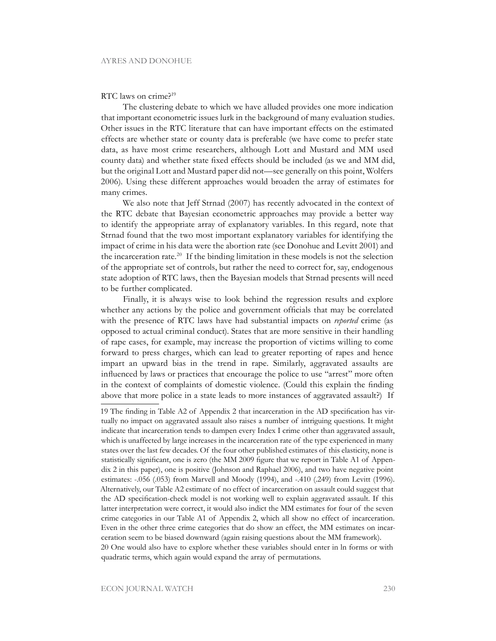#### RTC laws on crime?<sup>19</sup>

The clustering debate to which we have alluded provides one more indication that important econometric issues lurk in the background of many evaluation studies. Other issues in the RTC literature that can have important effects on the estimated effects are whether state or county data is preferable (we have come to prefer state data, as have most crime researchers, although Lott and Mustard and MM used county data) and whether state fixed effects should be included (as we and MM did, but the original Lott and Mustard paper did not—see generally on this point, Wolfers 2006). Using these different approaches would broaden the array of estimates for many crimes.

We also note that Jeff Strnad (2007) has recently advocated in the context of the RTC debate that Bayesian econometric approaches may provide a better way to identify the appropriate array of explanatory variables. In this regard, note that Strnad found that the two most important explanatory variables for identifying the impact of crime in his data were the abortion rate (see Donohue and Levitt 2001) and the incarceration rate.20 If the binding limitation in these models is not the selection of the appropriate set of controls, but rather the need to correct for, say, endogenous state adoption of RTC laws, then the Bayesian models that Strnad presents will need to be further complicated.

Finally, it is always wise to look behind the regression results and explore whether any actions by the police and government officials that may be correlated with the presence of RTC laws have had substantial impacts on *reported* crime (as opposed to actual criminal conduct). States that are more sensitive in their handling of rape cases, for example, may increase the proportion of victims willing to come forward to press charges, which can lead to greater reporting of rapes and hence impart an upward bias in the trend in rape. Similarly, aggravated assaults are influenced by laws or practices that encourage the police to use "arrest" more often in the context of complaints of domestic violence. (Could this explain the finding above that more police in a state leads to more instances of aggravated assault?) If

<sup>19</sup> The finding in Table A2 of Appendix 2 that incarceration in the AD specification has virtually no impact on aggravated assault also raises a number of intriguing questions. It might indicate that incarceration tends to dampen every Index I crime other than aggravated assault, which is unaffected by large increases in the incarceration rate of the type experienced in many states over the last few decades. Of the four other published estimates of this elasticity, none is statistically significant, one is zero (the MM 2009 figure that we report in Table A1 of Appendix 2 in this paper), one is positive (Johnson and Raphael 2006), and two have negative point estimates: -.056 (.053) from Marvell and Moody (1994), and -.410 (.249) from Levitt (1996). Alternatively, our Table A2 estimate of no effect of incarceration on assault could suggest that the AD specification-check model is not working well to explain aggravated assault. If this latter interpretation were correct, it would also indict the MM estimates for four of the seven crime categories in our Table A1 of Appendix 2, which all show no effect of incarceration. Even in the other three crime categories that do show an effect, the MM estimates on incarceration seem to be biased downward (again raising questions about the MM framework). 20 One would also have to explore whether these variables should enter in ln forms or with quadratic terms, which again would expand the array of permutations.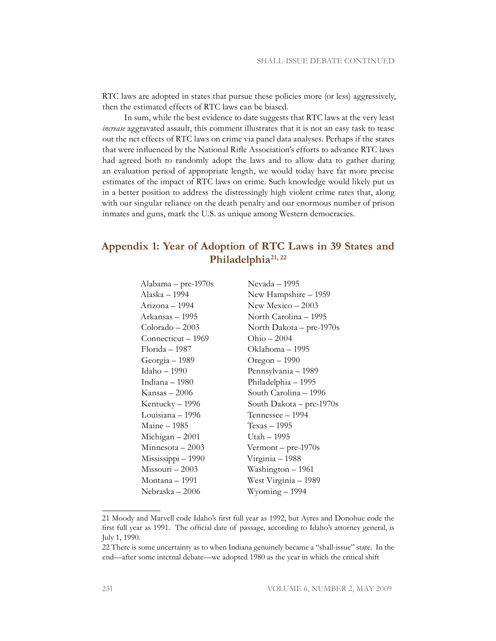RTC laws are adopted in states that pursue these policies more (or less) aggressively, then the estimated effects of RTC laws can be biased.

In sum, while the best evidence to date suggests that RTC laws at the very least *increase* aggravated assault, this comment illustrates that it is not an easy task to tease out the net effects of RTC laws on crime via panel data analyses. Perhaps if the states that were influenced by the National Rifle Association's efforts to advance RTC laws had agreed both to randomly adopt the laws and to allow data to gather during an evaluation period of appropriate length, we would today have far more precise estimates of the impact of RTC laws on crime. Such knowledge would likely put us in a better position to address the distressingly high violent crime rates that, along with our singular reliance on the death penalty and our enormous number of prison inmates and guns, mark the U.S. as unique among Western democracies.

# **Appendix 1: Year of Adoption of RTC Laws in 39 States and Philadelphia21, 22**

| Alabama – pre-1970s | Nevada – 1995            |
|---------------------|--------------------------|
| Alaska – 1994       | New Hampshire - 1959     |
| Arizona – 1994      | New Mexico $-2003$       |
| Arkansas – 1995     | North Carolina – 1995    |
| $Colorado - 2003$   | North Dakota – pre-1970s |
| Connecticut – 1969  | $Ohio - 2004$            |
| Florida – 1987      | Oklahoma – 1995          |
| Georgia - 1989      | Oregon $-1990$           |
| Idaho – 1990        | Pennsylvania - 1989      |
| Indiana – 1980      | Philadelphia – 1995      |
| Kansas – 2006       | South Carolina – 1996    |
| Kentucky - 1996     | South Dakota – pre-1970s |
| Louisiana – 1996    | Tennessee – 1994         |
| Maine - 1985        | Texas – 1995             |
| Michigan $-2001$    | Utah – 1995              |
| $Minnesota - 2003$  | Vermont $-$ pre-1970s    |
| Mississippi – 1990  | Virginia – 1988          |
| Missouri - 2003     | Washington – 1961        |
| Montana – 1991      | West Virginia – 1989     |
| Nebraska – 2006     | Wyoming – 1994           |
|                     |                          |

<sup>21</sup> Moody and Marvell code Idaho's first full year as 1992, but Ayres and Donohue code the first full year as 1991. The official date of passage, according to Idaho's attorney general, is July 1, 1990.

<sup>22</sup> There is some uncertainty as to when Indiana genuinely became a "shall-issue" state. In the end—after some internal debate—we adopted 1980 as the year in which the critical shift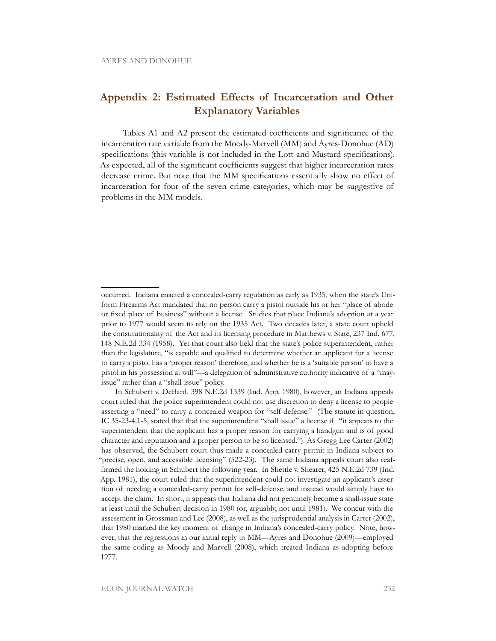# **Appendix 2: Estimated Effects of Incarceration and Other Explanatory Variables**

Tables A1 and A2 present the estimated coefficients and significance of the incarceration rate variable from the Moody-Marvell (MM) and Ayres-Donohue (AD) specifications (this variable is not included in the Lott and Mustard specifications). As expected, all of the significant coefficients suggest that higher incarceration rates decrease crime. But note that the MM specifications essentially show no effect of incarceration for four of the seven crime categories, which may be suggestive of problems in the MM models.

occurred. Indiana enacted a concealed-carry regulation as early as 1935, when the state's Uniform Firearms Act mandated that no person carry a pistol outside his or her "place of abode or fixed place of business" without a license. Studies that place Indiana's adoption at a year prior to 1977 would seem to rely on the 1935 Act. Two decades later, a state court upheld the constitutionality of the Act and its licensing procedure in Matthews v. State, 237 Ind. 677, 148 N.E.2d 334 (1958). Yet that court also held that the state's police superintendent, rather than the legislature, "is capable and qualified to determine whether an applicant for a license to carry a pistol has a 'proper reason' therefore, and whether he is a 'suitable person' to have a pistol in his possession at will"—a delegation of administrative authority indicative of a "mayissue" rather than a "shall-issue" policy.

In Schubert v. DeBard, 398 N.E.2d 1339 (Ind. App. 1980), however, an Indiana appeals court ruled that the police superintendent could not use discretion to deny a license to people asserting a "need" to carry a concealed weapon for "self-defense." (The statute in question, IC 35-23-4.1-5, stated that that the superintendent "shall issue" a license if "it appears to the superintendent that the applicant has a proper reason for carrying a handgun and is of good character and reputation and a proper person to be so licensed.") As Gregg Lee Carter (2002) has observed, the Schubert court thus made a concealed-carry permit in Indiana subject to "precise, open, and accessible licensing" (522-23). The same Indiana appeals court also reaffirmed the holding in Schubert the following year. In Shettle v. Shearer, 425 N.E.2d 739 (Ind. App. 1981), the court ruled that the superintendent could not investigate an applicant's assertion of needing a concealed-carry permit for self-defense, and instead would simply have to accept the claim. In short, it appears that Indiana did not genuinely become a shall-issue state at least until the Schubert decision in 1980 (or, arguably, not until 1981). We concur with the assessment in Grossman and Lee (2008), as well as the jurisprudential analysis in Carter (2002), that 1980 marked the key moment of change in Indiana's concealed-carry policy. Note, however, that the regressions in our initial reply to MM—Ayres and Donohue (2009)—employed the same coding as Moody and Marvell (2008), which treated Indiana as adopting before 1977.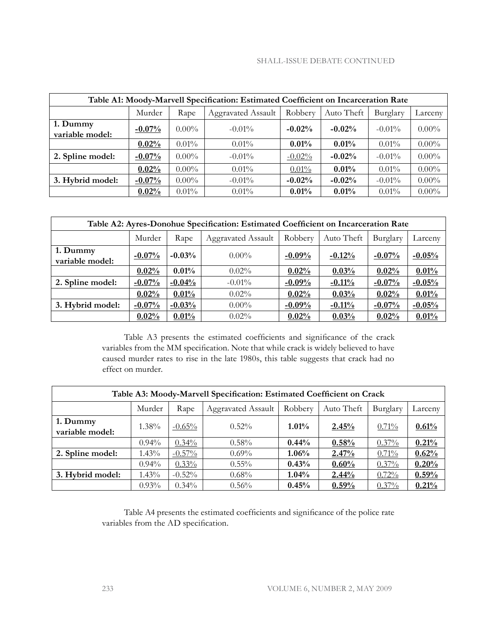### Shall-Issue debate continued

| Table A1: Moody-Marvell Specification: Estimated Coefficient on Incarceration Rate |          |          |                           |           |            |           |          |  |  |  |  |
|------------------------------------------------------------------------------------|----------|----------|---------------------------|-----------|------------|-----------|----------|--|--|--|--|
|                                                                                    | Murder   | Rape     | <b>Aggravated Assault</b> | Robbery   | Auto Theft | Burglary  | Larceny  |  |  |  |  |
| 1. Dummy<br>variable model:                                                        | $-0.07%$ | $0.00\%$ | $-0.01\%$                 | $-0.02%$  | $-0.02%$   | $-0.01\%$ | $0.00\%$ |  |  |  |  |
|                                                                                    | 0.02%    | $0.01\%$ | $0.01\%$                  | 0.01%     | 0.01%      | $0.01\%$  | $0.00\%$ |  |  |  |  |
| 2. Spline model:                                                                   | $-0.07%$ | $0.00\%$ | $-0.01\%$                 | $-0.02\%$ | $-0.02%$   | $-0.01\%$ | $0.00\%$ |  |  |  |  |
|                                                                                    | 0.02%    | $0.00\%$ | $0.01\%$                  | $0.01\%$  | 0.01%      | $0.01\%$  | $0.00\%$ |  |  |  |  |
| 3. Hybrid model:                                                                   | $-0.07%$ | $0.00\%$ | $-0.01\%$                 | $-0.02%$  | $-0.02%$   | $-0.01\%$ | $0.00\%$ |  |  |  |  |
|                                                                                    | 0.02%    | $0.01\%$ | $0.01\%$                  | 0.01%     | 0.01%      | $0.01\%$  | $0.00\%$ |  |  |  |  |

| Table A2: Ayres-Donohue Specification: Estimated Coefficient on Incarceration Rate |           |                                                                                   |           |           |          |           |          |  |  |  |  |
|------------------------------------------------------------------------------------|-----------|-----------------------------------------------------------------------------------|-----------|-----------|----------|-----------|----------|--|--|--|--|
|                                                                                    | Murder    | <b>Aggravated Assault</b><br>Auto Theft<br>Robbery<br>Rape<br>Burglary<br>Larceny |           |           |          |           |          |  |  |  |  |
| 1. Dummy<br>variable model:                                                        | $-0.07\%$ | $-0.03%$                                                                          | $0.00\%$  | $-0.09\%$ | $-0.12%$ | $-0.07\%$ | $-0.05%$ |  |  |  |  |
|                                                                                    | 0.02%     | 0.01%                                                                             | $0.02\%$  | 0.02%     | 0.03%    | 0.02%     | 0.01%    |  |  |  |  |
| 2. Spline model:                                                                   | $-0.07%$  | $-0.04%$                                                                          | $-0.01\%$ | $-0.09%$  | $-0.11%$ | $-0.07%$  | $-0.05%$ |  |  |  |  |
|                                                                                    | 0.02%     | 0.01%                                                                             | $0.02\%$  | 0.02%     | 0.03%    | 0.02%     | 0.01%    |  |  |  |  |
| 3. Hybrid model:                                                                   | $-0.07%$  | $-0.03%$                                                                          | $0.00\%$  | $-0.09%$  | $-0.11%$ | $-0.07%$  | $-0.05%$ |  |  |  |  |
|                                                                                    | 0.02%     | 0.01%                                                                             | $0.02\%$  | 0.02%     | 0.03%    | 0.02%     | 0.01%    |  |  |  |  |

Table A3 presents the estimated coefficients and significance of the crack variables from the MM specification. Note that while crack is widely believed to have caused murder rates to rise in the late 1980s, this table suggests that crack had no effect on murder.

| Table A3: Moody-Marvell Specification: Estimated Coefficient on Crack |          |                                                                                   |          |          |       |       |       |  |  |  |  |
|-----------------------------------------------------------------------|----------|-----------------------------------------------------------------------------------|----------|----------|-------|-------|-------|--|--|--|--|
|                                                                       | Murder   | Robbery<br>Auto Theft<br><b>Aggravated Assault</b><br>Rape<br>Burglary<br>Larceny |          |          |       |       |       |  |  |  |  |
| 1. Dummy<br>variable model:                                           | 1.38%    | $-0.65%$                                                                          | $0.52\%$ | $1.01\%$ | 2.45% | 0.71% | 0.61% |  |  |  |  |
|                                                                       | $0.94\%$ | $0.34\%$                                                                          | $0.58\%$ | $0.44\%$ | 0.58% | 0.37% | 0.21% |  |  |  |  |
| 2. Spline model:                                                      | 1.43%    | $-0.57\%$                                                                         | $0.69\%$ | 1.06%    | 2.47% | 0.71% | 0.62% |  |  |  |  |
|                                                                       | $0.94\%$ | $0.33\%$                                                                          | $0.55\%$ | 0.43%    | 0.60% | 0.37% | 0.20% |  |  |  |  |
| 3. Hybrid model:                                                      | $1.43\%$ | $-0.52%$                                                                          | $0.68\%$ | $1.04\%$ | 2.44% | 0.72% | 0.59% |  |  |  |  |
|                                                                       | $0.93\%$ | $0.34\%$                                                                          | $0.56\%$ | 0.45%    | 0.59% | 0.37% | 0.21% |  |  |  |  |

Table A4 presents the estimated coefficients and significance of the police rate variables from the AD specification.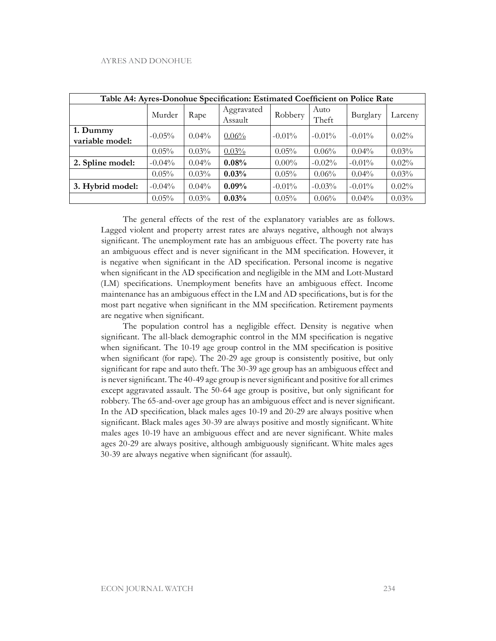| Table A4: Ayres-Donohue Specification: Estimated Coefficient on Police Rate |           |          |                       |           |               |           |          |  |  |  |
|-----------------------------------------------------------------------------|-----------|----------|-----------------------|-----------|---------------|-----------|----------|--|--|--|
|                                                                             | Murder    | Rape     | Aggravated<br>Assault | Robbery   | Auto<br>Theft | Burglary  | Larceny  |  |  |  |
| 1. Dummy<br>variable model:                                                 | $-0.05\%$ | $0.04\%$ | $0.06\%$              | $-0.01\%$ | $-0.01\%$     | $-0.01\%$ | $0.02\%$ |  |  |  |
|                                                                             | $0.05\%$  | $0.03\%$ | $0.03\%$              | $0.05\%$  | 0.06%         | $0.04\%$  | $0.03\%$ |  |  |  |
| 2. Spline model:                                                            | $-0.04\%$ | $0.04\%$ | 0.08%                 | $0.00\%$  | $-0.02\%$     | $-0.01\%$ | $0.02\%$ |  |  |  |
|                                                                             | $0.05\%$  | $0.03\%$ | 0.03%                 | $0.05\%$  | 0.06%         | $0.04\%$  | 0.03%    |  |  |  |
| 3. Hybrid model:                                                            | $-0.04\%$ | $0.04\%$ | $0.09\%$              | $-0.01\%$ | $-0.03\%$     | $-0.01\%$ | 0.02%    |  |  |  |
|                                                                             | 0.05%     | 0.03%    | 0.03%                 | $0.05\%$  | 0.06%         | $0.04\%$  | 0.03%    |  |  |  |

The general effects of the rest of the explanatory variables are as follows. Lagged violent and property arrest rates are always negative, although not always significant. The unemployment rate has an ambiguous effect. The poverty rate has an ambiguous effect and is never significant in the MM specification. However, it is negative when significant in the AD specification. Personal income is negative when significant in the AD specification and negligible in the MM and Lott-Mustard (LM) specifications. Unemployment benefits have an ambiguous effect. Income maintenance has an ambiguous effect in the LM and AD specifications, but is for the most part negative when significant in the MM specification. Retirement payments are negative when significant.

The population control has a negligible effect. Density is negative when significant. The all-black demographic control in the MM specification is negative when significant. The 10-19 age group control in the MM specification is positive when significant (for rape). The 20-29 age group is consistently positive, but only significant for rape and auto theft. The 30-39 age group has an ambiguous effect and is never significant. The 40-49 age group is never significant and positive for all crimes except aggravated assault. The 50-64 age group is positive, but only significant for robbery. The 65-and-over age group has an ambiguous effect and is never significant. In the AD specification, black males ages 10-19 and 20-29 are always positive when significant. Black males ages 30-39 are always positive and mostly significant. White males ages 10-19 have an ambiguous effect and are never significant. White males ages 20-29 are always positive, although ambiguously significant. White males ages 30-39 are always negative when significant (for assault).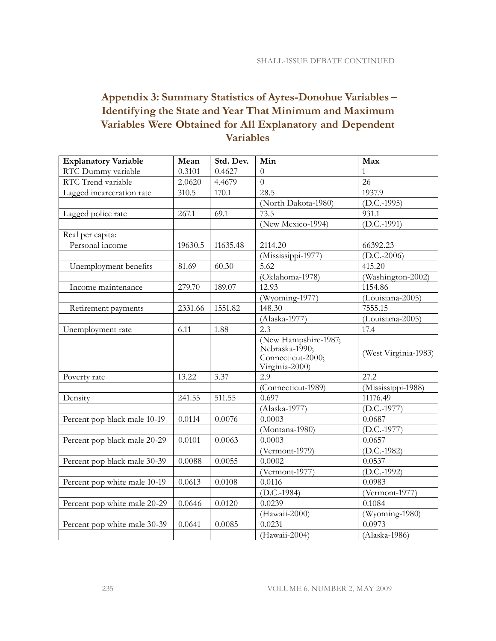# **Appendix 3: Summary Statistics of Ayres-Donohue Variables – Identifying the State and Year That Minimum and Maximum Variables Were Obtained for All Explanatory and Dependent Variables**

| <b>Explanatory Variable</b>  | Mean    | Std. Dev. | Min                                                                           | Max                                  |
|------------------------------|---------|-----------|-------------------------------------------------------------------------------|--------------------------------------|
| RTC Dummy variable           | 0.3101  | 0.4627    | $\Omega$                                                                      | 1                                    |
| RTC Trend variable           | 2.0620  | 4.4679    | $\theta$                                                                      | 26                                   |
| Lagged incarceration rate    | 310.5   | 170.1     | 28.5                                                                          | 1937.9                               |
|                              |         |           | (North Dakota-1980)                                                           | $(D.C.-1995)$                        |
| Lagged police rate           | 267.1   | 69.1      | 73.5                                                                          | 931.1                                |
|                              |         |           | (New Mexico-1994)                                                             | $(D.C.-1991)$                        |
| Real per capita:             |         |           |                                                                               |                                      |
| Personal income              | 19630.5 | 11635.48  | 2114.20                                                                       | 66392.23                             |
|                              |         |           | (Mississippi-1977)                                                            | $(D.C.-2006)$                        |
| Unemployment benefits        | 81.69   | 60.30     | 5.62                                                                          | 415.20                               |
|                              |         |           | (Oklahoma-1978)                                                               | (Washington-2002)                    |
| Income maintenance           | 279.70  | 189.07    | 12.93                                                                         | 1154.86                              |
|                              |         |           | (Wyoming-1977)                                                                | $\overline{\text{(Louisiana-2005)}}$ |
| Retirement payments          | 2331.66 | 1551.82   | 148.30                                                                        | 7555.15                              |
|                              |         |           | (Alaska-1977)                                                                 | (Louisiana-2005)                     |
| Unemployment rate            | 6.11    | 1.88      | 2.3                                                                           | 17.4                                 |
|                              |         |           | (New Hampshire-1987;<br>Nebraska-1990;<br>Connecticut-2000;<br>Virginia-2000) | (West Virginia-1983)                 |
| Poverty rate                 | 13.22   | 3.37      | 2.9                                                                           | 27.2                                 |
|                              |         |           | (Connecticut-1989)                                                            | (Mississippi-1988)                   |
| Density                      | 241.55  | 511.55    | 0.697                                                                         | 11176.49                             |
|                              |         |           | (Alaska-1977)                                                                 | $(D.C.-1977)$                        |
| Percent pop black male 10-19 | 0.0114  | 0.0076    | 0.0003                                                                        | 0.0687                               |
|                              |         |           | (Montana-1980)                                                                | $(D.C.-1977)$                        |
| Percent pop black male 20-29 | 0.0101  | 0.0063    | 0.0003                                                                        | 0.0657                               |
|                              |         |           | (Vermont-1979)                                                                | $(D.C.-1982)$                        |
| Percent pop black male 30-39 | 0.0088  | 0.0055    | 0.0002                                                                        | 0.0537                               |
|                              |         |           | (Vermont-1977)                                                                | $(D.C.-1992)$                        |
| Percent pop white male 10-19 | 0.0613  | 0.0108    | 0.0116                                                                        | 0.0983                               |
|                              |         |           | $(D.C.-1984)$                                                                 | (Vermont-1977)                       |
| Percent pop white male 20-29 | 0.0646  | 0.0120    | 0.0239                                                                        | 0.1084                               |
|                              |         |           | (Hawaii-2000)                                                                 | (Wyoming-1980)                       |
| Percent pop white male 30-39 | 0.0641  | 0.0085    | 0.0231                                                                        | 0.0973                               |
|                              |         |           | (Hawaii-2004)                                                                 | (Alaska-1986)                        |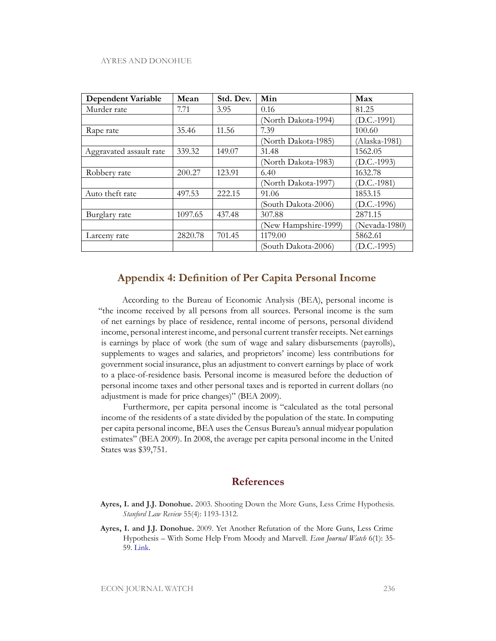| <b>Dependent Variable</b> | Mean    | Std. Dev. | Min                  | Max           |
|---------------------------|---------|-----------|----------------------|---------------|
| Murder rate               | 7.71    | 3.95      | 0.16                 | 81.25         |
|                           |         |           | (North Dakota-1994)  | $(D.C.-1991)$ |
| Rape rate                 | 35.46   | 11.56     | 7.39                 | 100.60        |
|                           |         |           | (North Dakota-1985)  | (Alaska-1981) |
| Aggravated assault rate   | 339.32  | 149.07    | 31.48                | 1562.05       |
|                           |         |           | (North Dakota-1983)  | $(D.C.-1993)$ |
| Robbery rate              | 200.27  | 123.91    | 6.40                 | 1632.78       |
|                           |         |           | (North Dakota-1997)  | $(D.C.-1981)$ |
| Auto theft rate           | 497.53  | 222.15    | 91.06                | 1853.15       |
|                           |         |           | (South Dakota-2006)  | $(D.C.-1996)$ |
| Burglary rate             | 1097.65 | 437.48    | 307.88               | 2871.15       |
|                           |         |           | (New Hampshire-1999) | (Nevada-1980) |
| Larceny rate              | 2820.78 | 701.45    | 1179.00              | 5862.61       |
|                           |         |           | (South Dakota-2006)  | $D.C.-1995)$  |

### **Appendix 4: Definition of Per Capita Personal Income**

According to the Bureau of Economic Analysis (BEA), personal income is "the income received by all persons from all sources. Personal income is the sum of net earnings by place of residence, rental income of persons, personal dividend income, personal interest income, and personal current transfer receipts. Net earnings is earnings by place of work (the sum of wage and salary disbursements (payrolls), supplements to wages and salaries, and proprietors' income) less contributions for government social insurance, plus an adjustment to convert earnings by place of work to a place-of-residence basis. Personal income is measured before the deduction of personal income taxes and other personal taxes and is reported in current dollars (no adjustment is made for price changes)" (BEA 2009).

Furthermore, per capita personal income is "calculated as the total personal income of the residents of a state divided by the population of the state. In computing per capita personal income, BEA uses the Census Bureau's annual midyear population estimates" (BEA 2009). In 2008, the average per capita personal income in the United States was \$39,751.

### **References**

- **Ayres, I. and J.J. Donohue.** 2003. Shooting Down the More Guns, Less Crime Hypothesis*. Stanford Law Review* 55(4): 1193-1312.
- **Ayres, I. and J.J. Donohue.** 2009. Yet Another Refutation of the More Guns, Less Crime Hypothesis – With Some Help From Moody and Marvell. *Econ Journal Watch* 6(1): 35- 59. [Link.](http://www.aier.org/ejw/archive/comments/doc_view/4018-ejw-200901?tmpl=component&format=raw)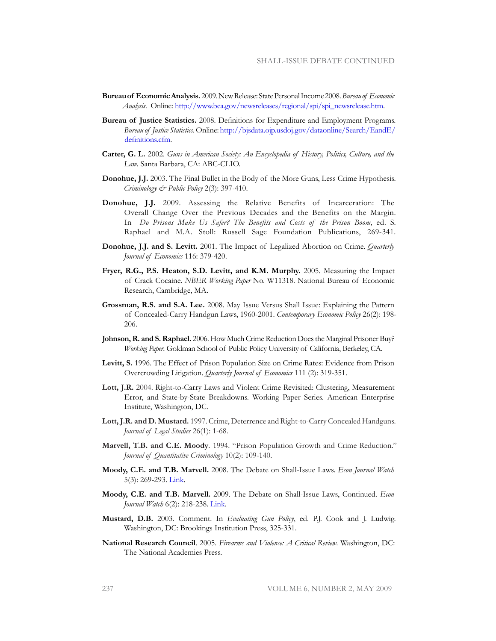- **Bureau of Economic Analysis.** 2009. New Release: State Personal Income 2008. *Bureau of Economic Analysis*. Online: [http://www.bea.gov/newsreleases/regional/spi/spi\\_newsrelease.htm](http://www.bea.gov/newsreleases/regional/spi/spi_newsrelease.htm).
- **Bureau of Justice Statistics.** 2008. Definitions for Expenditure and Employment Programs. *Bureau of Justice Statistics*. Online: [http://bjsdata.ojp.usdoj.gov/dataonline/Search/EandE/](http://bjsdata.ojp.usdoj.gov/dataonline/Search/EandE/definitions.cfm) [definitions.cf](http://bjsdata.ojp.usdoj.gov/dataonline/Search/EandE/definitions.cfm)m.
- **Carter, G. L.** 2002. *Guns in American Society: An Encyclopedia of History, Politics, Culture, and the Law*. Santa Barbara, CA: ABC-CLIO.
- **Donohue, J.J.** 2003. The Final Bullet in the Body of the More Guns, Less Crime Hypothesis. *Criminology & Public Policy* 2(3): 397-410.
- **Donohue, J.J.** 2009. Assessing the Relative Benefits of Incarceration: The Overall Change Over the Previous Decades and the Benefits on the Margin. In *Do Prisons Make Us Safer? The Benefits and Costs of the Prison Boom*, ed. S. Raphael and M.A. Stoll: Russell Sage Foundation Publications, 269-341.
- **Donohue, J.J. and S. Levitt.** 2001. The Impact of Legalized Abortion on Crime. *Quarterly Journal of Economics* 116: 379-420.
- **Fryer, R.G., P.S. Heaton, S.D. Levitt, and K.M. Murphy.** 2005. Measuring the Impact of Crack Cocaine. *NBER Working Paper* No. W11318. National Bureau of Economic Research, Cambridge, MA.
- **Grossman, R.S. and S.A. Lee.** 2008. May Issue Versus Shall Issue: Explaining the Pattern of Concealed-Carry Handgun Laws, 1960-2001. *Contemporary Economic Policy* 26(2): 198- 206.
- **Johnson, R. and S. Raphael.** 2006. How Much Crime Reduction Does the Marginal Prisoner Buy? *Working Paper*. Goldman School of Public Policy University of California, Berkeley, CA.
- **Levitt, S.** 1996. The Effect of Prison Population Size on Crime Rates: Evidence from Prison Overcrowding Litigation. *Quarterly Journal of Economics* 111 (2): 319-351.
- **Lott, J.R.** 2004. Right-to-Carry Laws and Violent Crime Revisited: Clustering, Measurement Error, and State-by-State Breakdowns. Working Paper Series. American Enterprise Institute, Washington, DC.
- **Lott, J.R. and D. Mustard.** 1997. Crime, Deterrence and Right-to-Carry Concealed Handguns. *Journal of Legal Studies* 26(1): 1-68.
- **Marvell, T.B. and C.E. Moody**. 1994. "Prison Population Growth and Crime Reduction." *Journal of Quantitative Criminology* 10(2): 109-140.
- **Moody, C.E. and T.B. Marvell.** 2008. The Debate on Shall-Issue Laws. *Econ Journal Watch* 5(3): 269-293. [Link.](http://www.aier.org/ejw/archive/doc_view/3610-ejw-200809?tmpl=component&format=raw)
- **Moody, C.E. and T.B. Marvell.** 2009. The Debate on Shall-Issue Laws, Continued. *Econ Journal Watch* 6(2): 218-238. [Link.](http://www.aier.org/aier/publications/ejw_com_may09_moodymarvell.pdf)
- **Mustard, D.B.** 2003. Comment. In *Evaluating Gun Policy*, ed. P.J. Cook and J. Ludwig. Washington, DC: Brookings Institution Press, 325-331.
- **National Research Council**. 2005. *Firearms and Violence: A Critical Review*. Washington, DC: The National Academies Press.